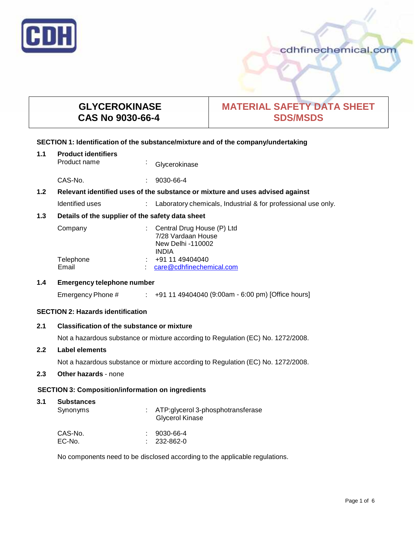

cdhfinechemical.com

# **GLYCEROKINASE CAS No 9030-66-4**

# **MATERIAL SAFETY DATA SHEET SDS/MSDS**

## **SECTION 1: Identification of the substance/mixture and of the company/undertaking**

| 1.1                                                                                               | <b>Product identifiers</b><br>Product name       |  | Glycerokinase                                                                         |
|---------------------------------------------------------------------------------------------------|--------------------------------------------------|--|---------------------------------------------------------------------------------------|
|                                                                                                   | CAS-No.                                          |  | 9030-66-4                                                                             |
| Relevant identified uses of the substance or mixture and uses advised against<br>1.2 <sub>2</sub> |                                                  |  |                                                                                       |
|                                                                                                   | Identified uses                                  |  | Laboratory chemicals, Industrial & for professional use only.                         |
| 1.3                                                                                               | Details of the supplier of the safety data sheet |  |                                                                                       |
|                                                                                                   | Company                                          |  | Central Drug House (P) Ltd<br>7/28 Vardaan House<br>New Delhi -110002<br><b>INDIA</b> |
|                                                                                                   | Telephone<br>Email                               |  | +91 11 49404040<br>care@cdhfinechemical.com                                           |

## **1.4 Emergency telephone number**

Emergency Phone # : +91 11 49404040 (9:00am - 6:00 pm) [Office hours]

# **SECTION 2: Hazards identification**

# **2.1 Classification of the substance ormixture**

Not a hazardous substance or mixture according to Regulation (EC) No. 1272/2008.

## **2.2 Label elements**

Not a hazardous substance or mixture according to Regulation (EC) No. 1272/2008.

# **2.3 Other hazards** - none

## **SECTION 3: Composition/information on ingredients**

| 3.1 | <b>Substances</b><br>Synonyms | : ATP:glycerol 3-phosphotransferase<br>Glycerol Kinase |
|-----|-------------------------------|--------------------------------------------------------|
|     | CAS-No.                       | 9030-66-4<br>٠.                                        |
|     | EC-No.                        | 232-862-0                                              |

No components need to be disclosed according to the applicable regulations.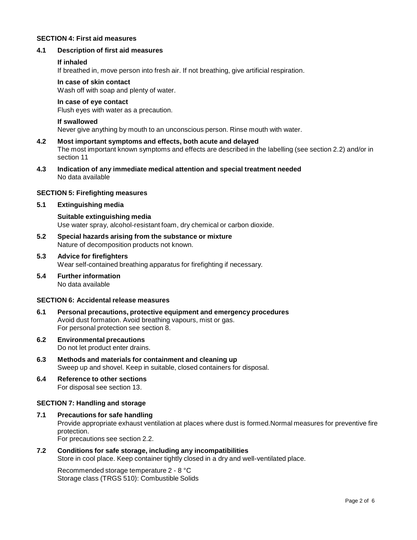### **SECTION 4: First aid measures**

#### **4.1 Description of first aid measures**

#### **If inhaled**

If breathed in, move person into fresh air. If not breathing, give artificial respiration.

#### **In case of skin contact**

Wash off with soap and plenty of water.

## **In case of eye contact**

Flush eyes with water as a precaution.

#### **If swallowed**

Never give anything by mouth to an unconscious person. Rinse mouth with water.

# **4.2 Most important symptoms and effects, both acute and delayed** The most important known symptoms and effects are described in the labelling (see section 2.2) and/or in section 11

**4.3 Indication of any immediate medical attention and special treatment needed** No data available

#### **SECTION 5: Firefighting measures**

### **5.1 Extinguishing media**

**Suitable extinguishing media** Use water spray, alcohol-resistant foam, dry chemical or carbon dioxide.

- **5.2 Special hazards arising from the substance ormixture** Nature of decomposition products not known.
- **5.3 Advice for firefighters** Wear self-contained breathing apparatus for firefighting if necessary.
- **5.4 Further information** No data available

## **SECTION 6: Accidental release measures**

- **6.1 Personal precautions, protective equipment and emergency procedures** Avoid dust formation. Avoid breathing vapours, mist or gas. For personal protection see section 8.
- **6.2 Environmental precautions** Do not let product enter drains.
- **6.3 Methods and materials for containment and cleaning up** Sweep up and shovel. Keep in suitable, closed containers for disposal.
- **6.4 Reference to other sections** For disposal see section 13.

#### **SECTION 7: Handling and storage**

**7.1 Precautions for safe handling** Provide appropriate exhaust ventilation at places where dust is formed.Normal measures for preventive fire protection. For precautions see section 2.2.

# **7.2 Conditions for safe storage, including any incompatibilities**

Store in cool place. Keep container tightly closed in a dry and well-ventilated place.

Recommended storage temperature 2 - 8 °C Storage class (TRGS 510): Combustible Solids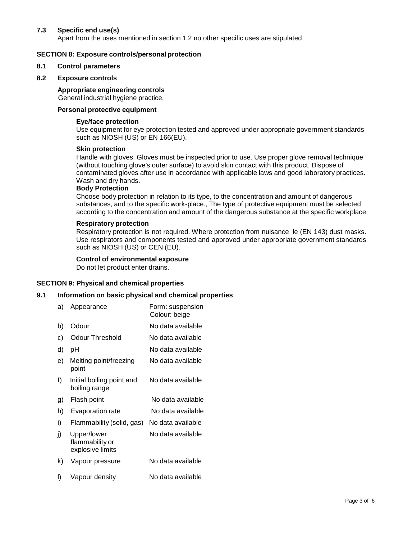## **7.3 Specific end use(s)**

Apart from the uses mentioned in section 1.2 no other specific uses are stipulated

## **SECTION 8: Exposure controls/personal protection**

#### **8.1 Control parameters**

#### **8.2 Exposure controls**

#### **Appropriate engineering controls**

General industrial hygiene practice.

## **Personal protective equipment**

#### **Eye/face protection**

Use equipment for eye protection tested and approved under appropriate government standards such as NIOSH (US) or EN 166(EU).

#### **Skin protection**

Handle with gloves. Gloves must be inspected prior to use. Use proper glove removal technique (without touching glove's outer surface) to avoid skin contact with this product. Dispose of contaminated gloves after use in accordance with applicable laws and good laboratory practices. Wash and dry hands.

#### **Body Protection**

Choose body protection in relation to its type, to the concentration and amount of dangerous substances, and to the specific work-place., The type of protective equipment must be selected according to the concentration and amount of the dangerous substance at the specific workplace.

#### **Respiratory protection**

Respiratory protection is not required. Where protection from nuisance le (EN 143) dust masks. Use respirators and components tested and approved under appropriate government standards such as NIOSH (US) or CEN (EU).

#### **Control of environmental exposure**

Do not let product enter drains.

#### **SECTION 9: Physical and chemical properties**

#### **9.1 Information on basic physical and chemical properties**

| a) | Appearance                                         | Form: suspension<br>Colour: beige |
|----|----------------------------------------------------|-----------------------------------|
| b) | Odour                                              | No data available                 |
| c) | <b>Odour Threshold</b>                             | No data available                 |
| d) | рH                                                 | No data available                 |
| e) | Melting point/freezing<br>point                    | No data available                 |
| f) | Initial boiling point and<br>boiling range         | No data available                 |
| g) | Flash point                                        | No data available                 |
| h) | Evaporation rate                                   | No data available                 |
| i) | Flammability (solid, gas)                          | No data available                 |
| j) | Upper/lower<br>flammability or<br>explosive limits | No data available                 |
| k) | Vapour pressure                                    | No data available                 |
| I) | Vapour density                                     | No data available                 |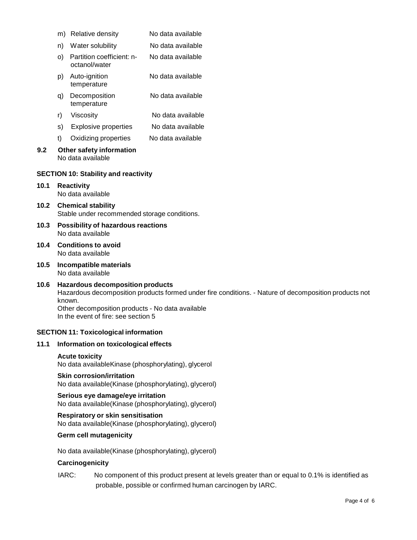|      | Relative density<br>m)                                                    |                                                 | No data available |  |  |
|------|---------------------------------------------------------------------------|-------------------------------------------------|-------------------|--|--|
|      | n)                                                                        | Water solubility                                | No data available |  |  |
|      | O)                                                                        | Partition coefficient: n-<br>octanol/water      | No data available |  |  |
|      | p)                                                                        | Auto-ignition<br>temperature                    | No data available |  |  |
|      | q)                                                                        | Decomposition<br>temperature                    | No data available |  |  |
|      | r)                                                                        | Viscosity                                       | No data available |  |  |
|      | s) -                                                                      | Explosive properties                            | No data available |  |  |
|      | t)                                                                        | Oxidizing properties                            | No data available |  |  |
| 9.2  | Other safety information<br>No data available                             |                                                 |                   |  |  |
|      |                                                                           | <b>SECTION 10: Stability and reactivity</b>     |                   |  |  |
| 10.1 | <b>Reactivity</b><br>No data available                                    |                                                 |                   |  |  |
| 10.2 | <b>Chemical stability</b><br>Stable under recommended storage conditions. |                                                 |                   |  |  |
| 10.3 | Possibility of hazardous reactions<br>No data available                   |                                                 |                   |  |  |
| 10.4 |                                                                           | <b>Conditions to avoid</b><br>No data available |                   |  |  |
|      |                                                                           |                                                 |                   |  |  |

**10.5 Incompatible materials** No data available

## **10.6 Hazardous decomposition products** Hazardous decomposition products formed under fire conditions. - Nature of decomposition products not known. Other decomposition products - No data available

In the event of fire: see section 5

# **SECTION 11: Toxicological information**

## **11.1 Information on toxicological effects**

## **Acute toxicity**

No data availableKinase (phosphorylating), glycerol

## **Skin corrosion/irritation**

No data available(Kinase (phosphorylating), glycerol)

# **Serious eye damage/eye irritation** No data available(Kinase (phosphorylating), glycerol)

# **Respiratory orskin sensitisation**

No data available(Kinase (phosphorylating), glycerol)

## **Germ cell mutagenicity**

No data available(Kinase (phosphorylating), glycerol)

## **Carcinogenicity**

IARC: No component of this product present at levels greater than or equal to 0.1% is identified as probable, possible or confirmed human carcinogen by IARC.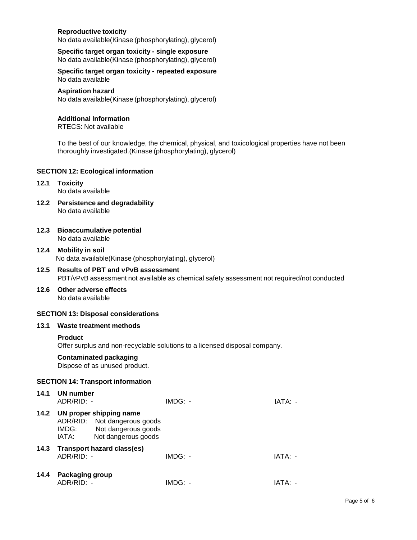## **Reproductive toxicity**

No data available(Kinase (phosphorylating), glycerol)

**Specific target organ toxicity - single exposure** No data available(Kinase (phosphorylating), glycerol)

## **Specific target organ toxicity - repeated exposure** No data available

#### **Aspiration hazard**

No data available(Kinase (phosphorylating), glycerol)

### **Additional Information**

RTECS: Not available

To the best of our knowledge, the chemical, physical, and toxicological properties have not been thoroughly investigated.(Kinase (phosphorylating), glycerol)

### **SECTION 12: Ecological information**

# **12.1 Toxicity**

No data available

- **12.2 Persistence and degradability** No data available
- **12.3 Bioaccumulative potential** No data available
- **12.4 Mobility in soil** No data available(Kinase (phosphorylating), glycerol)

## **12.5 Results of PBT and vPvB assessment** PBT/vPvB assessment not available as chemical safety assessment not required/not conducted

#### **12.6 Other adverse effects** No data available

## **SECTION 13: Disposal considerations**

## **13.1 Waste treatment methods**

## **Product**

Offer surplus and non-recyclable solutions to a licensed disposal company.

## **Contaminated packaging**

Dispose of as unused product.

## **SECTION 14: Transport information**

| 14.1 | UN number<br>$ADR/RID: -$       |                                                                                                       | $IMDG: -$ | IATA: - |
|------|---------------------------------|-------------------------------------------------------------------------------------------------------|-----------|---------|
| 14.2 | IMDG:<br>IATA:                  | UN proper shipping name<br>ADR/RID: Not dangerous goods<br>Not dangerous goods<br>Not dangerous goods |           |         |
|      | $ADR/RID: -$                    | 14.3 Transport hazard class(es)                                                                       | $IMDG: -$ | IATA: - |
| 14.4 | Packaging group<br>$ADR/RID: -$ |                                                                                                       | IMDG: -   | IATA· - |